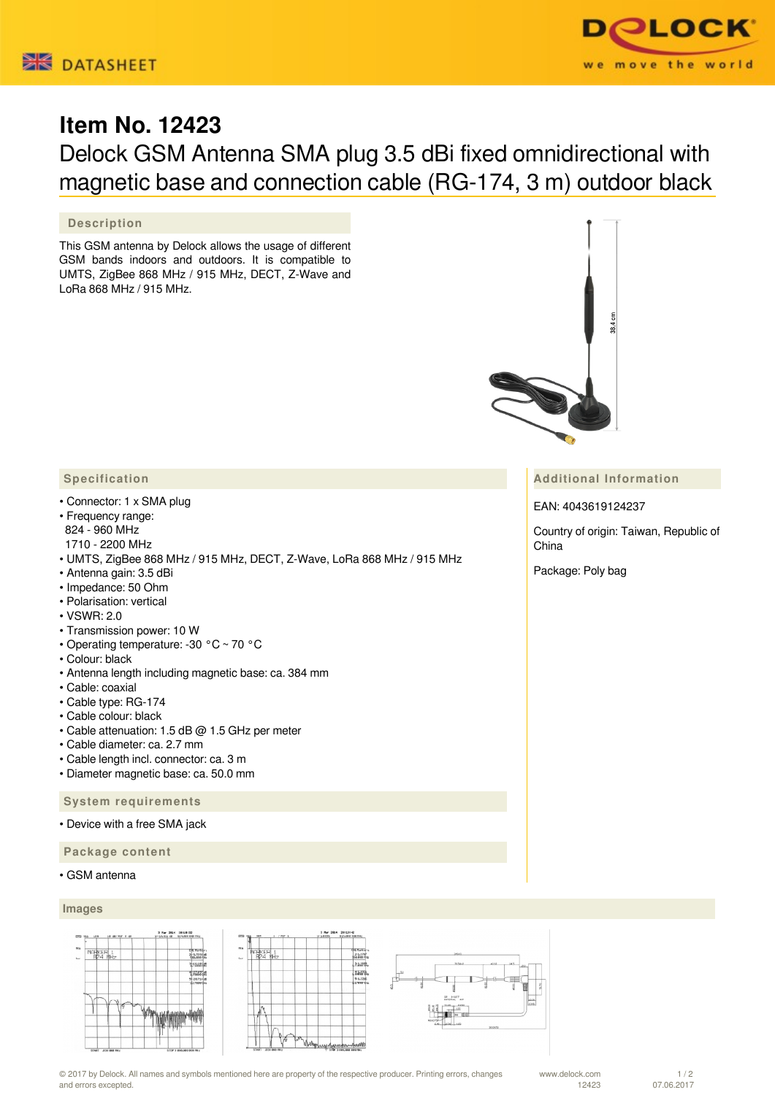



# **Item No. 12423**

# Delock GSM Antenna SMA plug 3.5 dBi fixed omnidirectional with magnetic base and connection cable (RG-174, 3 m) outdoor black

## **Description**

This GSM antenna by Delock allows the usage of different GSM bands indoors and outdoors. It is compatible to UMTS, ZigBee 868 MHz / 915 MHz, DECT, Z-Wave and LoRa 868 MHz / 915 MHz.

## **Specification**

- Connector: 1 x SMA plug
- Frequency range: 824 - 960 MHz
- 1710 2200 MHz
- UMTS, ZigBee 868 MHz / 915 MHz, DECT, Z-Wave, LoRa 868 MHz / 915 MHz
- Antenna gain: 3.5 dBi
- Impedance: 50 Ohm
- Polarisation: vertical
- VSWR: 2.0
- Transmission power: 10 W
- Operating temperature: -30 °C ~ 70 °C
- Colour: black
- Antenna length including magnetic base: ca. 384 mm
- Cable: coaxial
- Cable type: RG-174
- Cable colour: black
- Cable attenuation: 1.5 dB @ 1.5 GHz per meter
- Cable diameter: ca. 2.7 mm
- Cable length incl. connector: ca. 3 m
- Diameter magnetic base: ca. 50.0 mm

### **System requirements**

• Device with a free SMA jack

 **Package content**

• GSM antenna

#### **Images**





© 2017 by Delock. All names and symbols mentioned here are property of the respective producer. Printing errors, changes and errors excepted.

### **Additional Information**

EAN: 4043619124237

Country of origin: Taiwan, Republic of China

Package: Poly bag

07.06.2017

 $1/2$ 

www.delock.com 12423